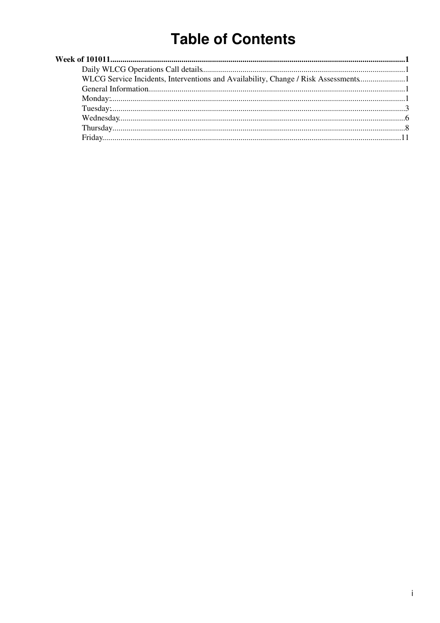# **Table of Contents**

| WLCG Service Incidents, Interventions and Availability, Change / Risk Assessments |  |
|-----------------------------------------------------------------------------------|--|
|                                                                                   |  |
|                                                                                   |  |
|                                                                                   |  |
|                                                                                   |  |
|                                                                                   |  |
|                                                                                   |  |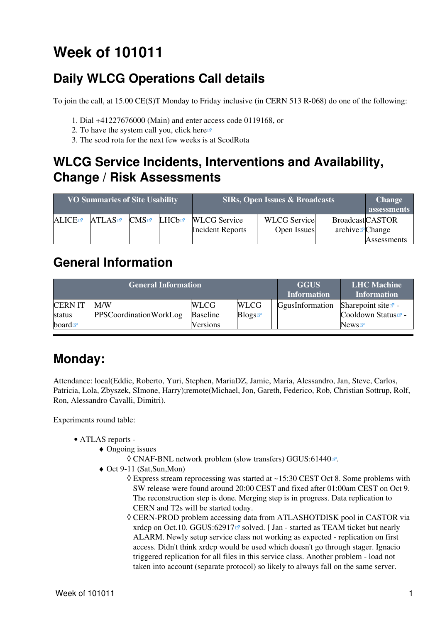# <span id="page-1-0"></span>**Week of 101011**

## <span id="page-1-1"></span>**Daily WLCG Operations Call details**

To join the call, at 15.00 CE(S)T Monday to Friday inclusive (in CERN 513 R-068) do one of the following:

- 1. Dial +41227676000 (Main) and enter access code 0119168, or
- 2. To have the system call you, click [here](https://audioconf.cern.ch/call/0119168) $\Phi$
- 3. The scod rota for the next few weeks is at [ScodRota](https://twiki.cern.ch/twiki/bin/view/LCG/ScodRota)

### <span id="page-1-2"></span>**WLCG Service Incidents, Interventions and Availability, Change / Risk Assessments**

| <b>VO Summaries of Site Usability</b> |       |     | <b>SIRs, Open Issues &amp; Broadcasts</b> |                         |                     | <b>Change</b><br>assessments |             |
|---------------------------------------|-------|-----|-------------------------------------------|-------------------------|---------------------|------------------------------|-------------|
| ALICE                                 | ATLAS | CMS | LHCb☞                                     | <b>WLCG</b> Service     | <b>WLCG</b> Service | <b>BroadcastCASTOR</b>       |             |
|                                       |       |     |                                           | <b>Incident Reports</b> | Open Issues         | archive $\mathbb{Z}$ Change  |             |
|                                       |       |     |                                           |                         |                     |                              | Assessments |

### <span id="page-1-3"></span>**General Information**

|                      | <b>General Information</b> | <b>GGUS</b><br><b>Information</b> | <b>LHC</b> Machine<br><b>Information</b> |                 |                                |
|----------------------|----------------------------|-----------------------------------|------------------------------------------|-----------------|--------------------------------|
| <b>CERNIT</b>        | M/W                        | <b>WLCG</b>                       | <b>WLCG</b>                              | GgusInformation | Sharepoint site $\Phi$ -       |
| status               | PPSCoordinationWorkLog     | <b>Baseline</b>                   | Blogs                                    |                 | Cooldown Status <sup>®</sup> - |
| board $\blacksquare$ |                            | Versions                          |                                          |                 | News                           |

## <span id="page-1-4"></span>**Monday:**

Attendance: local(Eddie, Roberto, Yuri, Stephen, MariaDZ, Jamie, Maria, Alessandro, Jan, Steve, Carlos, Patricia, Lola, Zbyszek, SImone, Harry);remote(Michael, Jon, Gareth, Federico, Rob, Christian Sottrup, Rolf, Ron, Alessandro Cavalli, Dimitri).

- ATLAS [reports](https://twiki.cern.ch/twiki/bin/view/Atlas/ADCOperationsDailyReports)  •
	- Ongoing issues ♦
		- $\Diamond$  CNAF-BNL network problem (slow transfers) [GGUS:61440](https://ggus.eu/ws/ticket_info.php?ticket=61440) $\degree$ .
	- ◆ Oct 9-11 (Sat,Sun,Mon)
		- Express stream reprocessing was started at ~15:30 CEST Oct 8. Some problems with ◊ SW release were found around 20:00 CEST and fixed after 01:00am CEST on Oct 9. The reconstruction step is done. Merging step is in progress. Data replication to CERN and T2s will be started today.
		- CERN-PROD problem accessing data from ATLASHOTDISK pool in CASTOR via ◊ xrdcp on Oct.10. [GGUS:62917](https://ggus.eu/ws/ticket_info.php?ticket=62917) $\textdegree$  solved. [Jan - started as TEAM ticket but nearly ALARM. Newly setup service class not working as expected - replication on first access. Didn't think xrdcp would be used which doesn't go through stager. Ignacio triggered replication for all files in this service class. Another problem - load not taken into account (separate protocol) so likely to always fall on the same server.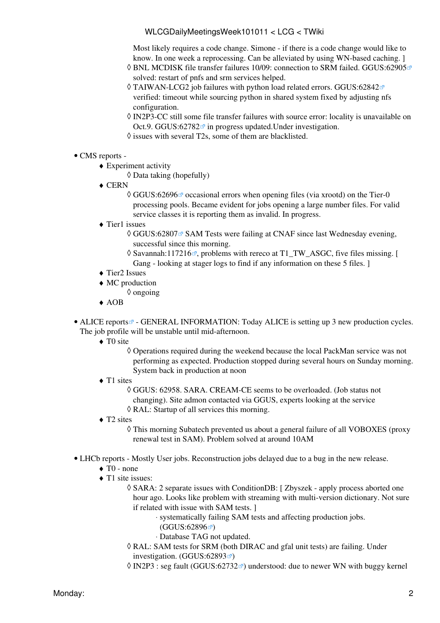Most likely requires a code change. Simone - if there is a code change would like to know. In one week a reprocessing. Can be alleviated by using WN-based caching. ]

- BNL MCDISK file transfer failures 10/09: connection to SRM failed. [GGUS:62905](https://ggus.eu/ws/ticket_info.php?ticket=62905) ◊ solved: restart of pnfs and srm services helped.
- TAIWAN-LCG2 job failures with python load related errors. [GGUS:62842](https://ggus.eu/ws/ticket_info.php?ticket=62842) ◊ verified: timeout while sourcing python in shared system fixed by adjusting nfs configuration.
- ◊ [IN2P3-](https://twiki.cern.ch/twiki/bin/view/LCG/IN2P3)CC still some file transfer failures with source error: locality is unavailable on Oct.9. GGUS:62782<sup> $\alpha$ </sup> in progress updated. Under investigation.
- $\Diamond$  issues with several T2s, some of them are blacklisted.

#### • CMS [reports](https://twiki.cern.ch/twiki/bin/view/CMS/FacOps_WLCGdailyreports) -

- Experiment activity ♦
	- ◊ Data taking (hopefully)
- CERN ♦
	- © [GGUS:62696](https://ggus.eu/ws/ticket_info.php?ticket=62696) <sup>∞</sup> occasional errors when opening files (via xrootd) on the Tier-0 processing pools. Became evident for jobs opening a large number files. For valid service classes it is reporting them as invalid. In progress.
- Tier1 issues ♦
	- © [GGUS:62807](https://ggus.eu/ws/ticket_info.php?ticket=62807) <sup>®</sup> SAM Tests were failing at CNAF since last Wednesday evening, successful since this morning.
	- $\Diamond$  [Savannah:117216](http://savannah.cern.ch/support/?117216) $\mathbb{F}$ , problems with rereco at T1\_TW\_ASGC, five files missing. [ Gang - looking at stager logs to find if any information on these 5 files.  $\vert$
- ◆ Tier2 Issues
- MC production ♦ ◊ ongoing
	-
- ♦ AOB

• ALICE [reports](http://alien2.cern.ch/index.php?option=com_content&view=article&id=75&Itemid=129)<sup>®</sup> - GENERAL INFORMATION: Today ALICE is setting up 3 new production cycles. The job profile will be unstable until mid-afternoon.

- ◆ TO site
	- Operations required during the weekend because the local [PackMan](https://twiki.cern.ch/twiki/bin/edit/LCG/PackMan?topicparent=LCG.WLCGDailyMeetingsWeek101011;nowysiwyg=1) service was not ◊ performing as expected. Production stopped during several hours on Sunday morning. System back in production at noon
- ◆ T1 sites
	- GGUS: 62958. SARA. [CREAM-](https://twiki.cern.ch/twiki/bin/view/LCG/CREAM)CE seems to be overloaded. (Job status not ◊ changing). Site admon contacted via GGUS, experts looking at the service ◊ [RAL](https://twiki.cern.ch/twiki/bin/view/LCG/RAL): Startup of all services this morning.
- ◆ T2 sites
	- This morning Subatech prevented us about a general failure of all VOBOXES (proxy ◊ renewal test in SAM). Problem solved at around 10AM
- LHCb [reports](https://twiki.cern.ch/twiki/bin/view/LHCb/ProductionOperationsWLCGdailyReports)  Mostly User jobs. Reconstruction jobs delayed due to a bug in the new release.
	- $\triangleleft$  T0 none
	- ◆ T1 site issues:
		- SARA: 2 separate issues with [ConditionDB:](https://twiki.cern.ch/twiki/bin/edit/LCG/ConditionDB?topicparent=LCG.WLCGDailyMeetingsWeek101011;nowysiwyg=1) [ Zbyszek apply process aborted one ◊ hour ago. Looks like problem with streaming with multi-version dictionary. Not sure if related with issue with SAM tests. ]
			- systematically failing SAM tests and affecting production jobs. ⋅
				- $(GGUS:62896 \n\mathbb{Z})$  $(GGUS:62896 \n\mathbb{Z})$  $(GGUS:62896 \n\mathbb{Z})$
			- ⋅ Database TAG not updated.
		- [RAL](https://twiki.cern.ch/twiki/bin/view/LCG/RAL): SAM tests for SRM (both DIRAC and gfal unit tests) are failing. Under ◊ investigation.  $(GGUS:62893 \times )$  $(GGUS:62893 \times )$  $(GGUS:62893 \times )$
		- $\Diamond$  [IN2P3](https://twiki.cern.ch/twiki/bin/view/LCG/IN2P3) : seg fault [\(GGUS:62732](https://ggus.eu/ws/ticket_info.php?ticket=62732) $\degree$ ) understood: due to newer WN with buggy kernel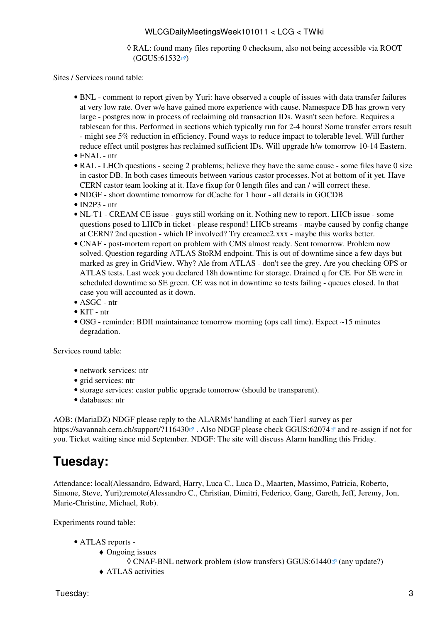#### [RAL](https://twiki.cern.ch/twiki/bin/view/LCG/RAL): found many files reporting 0 checksum, also not being accessible via ROOT ◊ ([GGUS:61532](https://ggus.eu/ws/ticket_info.php?ticket=61532) )

Sites / Services round table:

- BNL comment to report given by Yuri: have observed a couple of issues with data transfer failures at very low rate. Over w/e have gained more experience with cause. Namespace DB has grown very large - postgres now in process of reclaiming old transaction IDs. Wasn't seen before. Requires a tablescan for this. Performed in sections which typically run for 2-4 hours! Some transfer errors result - might see 5% reduction in efficiency. Found ways to reduce impact to tolerable level. Will further reduce effect until postgres has reclaimed sufficient IDs. Will upgrade h/w tomorrow 10-14 Eastern.
- FNAL ntr
- [RAL](https://twiki.cern.ch/twiki/bin/view/LCG/RAL) LHCb questions seeing 2 problems; believe they have the same cause some files have 0 size in castor DB. In both cases timeouts between various castor processes. Not at bottom of it yet. Have CERN castor team looking at it. Have fixup for 0 length files and can / will correct these.
- NDGF short downtime tomorrow for dCache for 1 hour all details in GOCDB
- $\bullet$  [IN2P3](https://twiki.cern.ch/twiki/bin/view/LCG/IN2P3)  ntr
- NL-T1 [CREAM](https://twiki.cern.ch/twiki/bin/view/LCG/CREAM) CE issue guys still working on it. Nothing new to report. LHCb issue some questions posed to LHCb in ticket - please respond! LHCb streams - maybe caused by config change at CERN? 2nd question - which IP involved? Try creamce2.xxx - maybe this works better.
- CNAF post-mortem report on problem with CMS almost ready. Sent tomorrow. Problem now solved. Question regarding ATLAS [StoRM](https://twiki.cern.ch/twiki/bin/view/LCG/StoRM) endpoint. This is out of downtime since a few days but marked as grey in [GridView](https://twiki.cern.ch/twiki/bin/view/LCG/GridView). Why? Ale from ATLAS - don't see the grey. Are you checking OPS or ATLAS tests. Last week you declared 18h downtime for storage. Drained q for CE. For SE were in scheduled downtime so SE green. CE was not in downtime so tests failing - queues closed. In that case you will accounted as it down.
- ASGC ntr
- KIT ntr
- OSG reminder: BDII maintainance tomorrow morning (ops call time). Expect ~15 minutes degradation.

Services round table:

- network services: ntr
- grid services: ntr
- storage services: castor public upgrade tomorrow (should be transparent).
- databases: ntr

AOB: ([MariaDZ\)](https://twiki.cern.ch/twiki/bin/edit/LCG/MariaDZ?topicparent=LCG.WLCGDailyMeetingsWeek101011;nowysiwyg=1) NDGF please reply to the ALARMs' handling at each Tier1 survey as per https://savannah.cern.ch/support/?116430<sup>2</sup>. Also NDGF please check GGUS:62074<sup>2</sup> and re-assign if not for you. Ticket waiting since mid September. NDGF: The site will discuss Alarm handling this Friday.

### <span id="page-3-0"></span>**Tuesday:**

Attendance: local(Alessandro, Edward, Harry, Luca C., Luca D., Maarten, Massimo, Patricia, Roberto, Simone, Steve, Yuri);remote(Alessandro C., Christian, Dimitri, Federico, Gang, Gareth, Jeff, Jeremy, Jon, Marie-Christine, Michael, Rob).

- ATLAS [reports](https://twiki.cern.ch/twiki/bin/view/Atlas/ADCOperationsDailyReports)  •
	- Ongoing issues ♦
		- $\Diamond$  CNAF-BNL network problem (slow transfers) [GGUS:61440](https://ggus.eu/ws/ticket_info.php?ticket=61440) $\degree$  (any update?)
	- ♦ ATLAS activities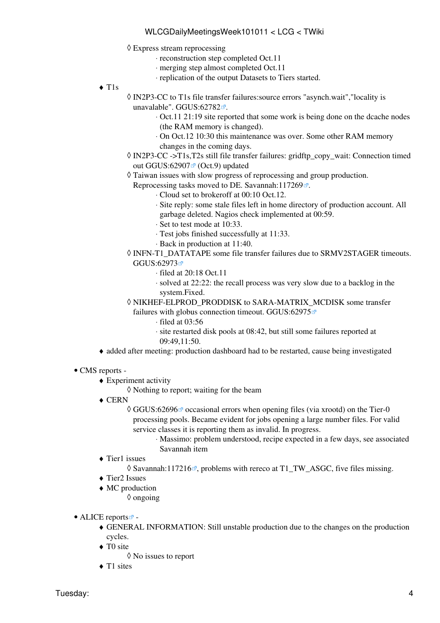- Express stream reprocessing ◊
	- ⋅ reconstruction step completed Oct.11
	- ⋅ merging step almost completed Oct.11
	- ⋅ replication of the output Datasets to Tiers started.
- T1s ♦
- [IN2P3-](https://twiki.cern.ch/twiki/bin/view/LCG/IN2P3)CC to T1s file transfer failures:source errors "asynch.wait","locality is ◊ unavalable". [GGUS:62782](https://ggus.eu/ws/ticket_info.php?ticket=62782)<sup>a</sup>.
	- Oct.11 21:19 site reported that some work is being done on the dcache nodes ⋅ (the RAM memory is changed).
	- On Oct.12 10:30 this maintenance was over. Some other RAM memory ⋅ changes in the coming days.
- ◊ [IN2P3-](https://twiki.cern.ch/twiki/bin/view/LCG/IN2P3)CC ->T1s,T2s still file transfer failures: gridftp\_copy\_wait: Connection timed out GGUS:62907 $\Phi$  (Oct.9) updated
- Taiwan issues with slow progress of reprocessing and group production. ◊

Reprocessing tasks moved to DE. Savannah: $117269$  $\mathbb{Z}$ .

- ⋅ Cloud set to brokeroff at 00:10 Oct.12.
- Site reply: some stale files left in home directory of production account. All ⋅ garbage deleted. Nagios check implemented at 00:59.
- ⋅ Set to test mode at 10:33.
- ⋅ Test jobs finished successfully at 11:33.
- ⋅ Back in production at 11:40.
- INFN-T1\_DATATAPE some file transfer failures due to SRMV2STAGER timeouts. ◊ [GGUS:62973](https://ggus.eu/ws/ticket_info.php?ticket=62973)
	- ⋅ filed at 20:18 Oct.11
	- solved at 22:22: the recall process was very slow due to a backlog in the ⋅ system.Fixed.
- NIKHEF-ELPROD\_PRODDISK to SARA-MATRIX\_MCDISK some transfer ◊ failures with globus connection timeout. [GGUS:62975](https://ggus.eu/ws/ticket_info.php?ticket=62975)<sup>®</sup>
	- ⋅ filed at 03:56
	- site restarted disk pools at 08:42, but still some failures reported at ⋅ 09:49,11:50.
- ♦ added after meeting: production dashboard had to be restarted, cause being investigated
- CMS [reports](https://twiki.cern.ch/twiki/bin/view/CMS/FacOps_WLCGdailyreports) -
	- Experiment activity ♦
		- ◊ Nothing to report; waiting for the beam
	- CERN ♦

© [GGUS:62696](https://ggus.eu/ws/ticket_info.php?ticket=62696) <sup>∞</sup> occasional errors when opening files (via xrootd) on the Tier-0 processing pools. Became evident for jobs opening a large number files. For valid service classes it is reporting them as invalid. In progress.

> Massimo: problem understood, recipe expected in a few days, see associated ⋅ Savannah item

Tier1 issues ♦

◊ [Savannah:117216](https://savannah.cern.ch/support/?117216) , problems with rereco at T1\_TW\_ASGC, five files missing.

- ◆ Tier2 Issues
- MC production ♦
	- ◊ ongoing
- ALICE [reports](http://alien2.cern.ch/index.php?option=com_content&view=article&id=75&Itemid=129)
	- GENERAL INFORMATION: Still unstable production due to the changes on the production ♦ cycles.
	- ◆ TO site
		- ◊ No issues to report
	- $\triangle$  T1 sites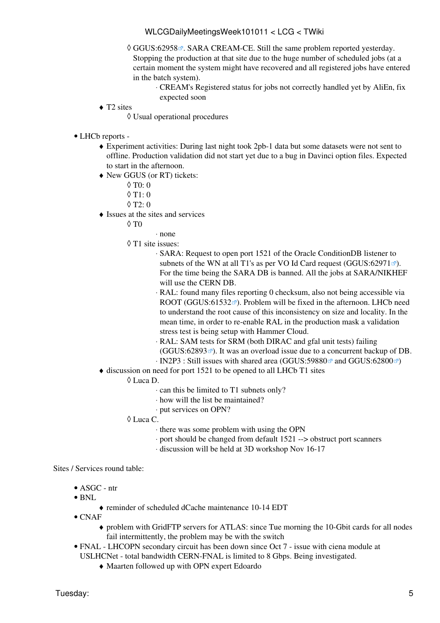© [GGUS:62958](https://ggus.eu/ws/ticket_info.php?ticket=62958) <sup>®</sup>. SARA [CREAM-](https://twiki.cern.ch/twiki/bin/view/LCG/CREAM)CE. Still the same problem reported yesterday. Stopping the production at that site due to the huge number of scheduled jobs (at a certain moment the system might have recovered and all registered jobs have entered in the batch system).

[CREAM](https://twiki.cern.ch/twiki/bin/view/LCG/CREAM)'s Registered status for jobs not correctly handled yet by [AliEn,](https://twiki.cern.ch/twiki/bin/edit/LCG/AliEn?topicparent=LCG.WLCGDailyMeetingsWeek101011;nowysiwyg=1) fix ⋅ expected soon

◆ T2 sites

◊ Usual operational procedures

- LHCb [reports](https://twiki.cern.ch/twiki/bin/view/LHCb/ProductionOperationsWLCGdailyReports) -
	- Experiment activities: During last night took 2pb-1 data but some datasets were not sent to ♦ offline. Production validation did not start yet due to a bug in Davinci option files. Expected to start in the afternoon.
	- New GGUS (or RT) tickets: ♦
		- $\lozenge$  T<sub>0</sub>: 0
		- $\lozenge$  T<sub>1</sub>: 0
		- $\lozenge$  T2: 0
	- Issues at the sites and services ♦
		- $\Diamond$  T $0$

$$
\cdot
$$
 none

- T1 site issues: ◊
	- SARA: Request to open port 1521 of the Oracle ConditionDB listener to ⋅ subnets of the WN at all T1's as per VO Id Card request [\(GGUS:62971](https://ggus.eu/ws/ticket_info.php?ticket=62971) $\degree$ ). For the time being the SARA DB is banned. All the jobs at SARA/NIKHEF will use the CERN DB.
	- [RAL](https://twiki.cern.ch/twiki/bin/view/LCG/RAL): found many files reporting 0 checksum, also not being accessible via ⋅ ROOT [\(GGUS:61532](https://ggus.eu/ws/ticket_info.php?ticket=61532)<sup>®</sup>). Problem will be fixed in the afternoon. LHCb need to understand the root cause of this inconsistency on size and locality. In the mean time, in order to re-enable [RAL](https://twiki.cern.ch/twiki/bin/view/LCG/RAL) in the production mask a validation stress test is being setup with Hammer Cloud.
	- [RAL](https://twiki.cern.ch/twiki/bin/view/LCG/RAL): SAM tests for SRM (both DIRAC and gfal unit tests) failing ⋅
	- $(GGUS:62893 \text{ m})$  $(GGUS:62893 \text{ m})$  $(GGUS:62893 \text{ m})$ . It was an overload issue due to a concurrent backup of DB.
	- $\cdot$  [IN2P3](https://twiki.cern.ch/twiki/bin/view/LCG/IN2P3) : Still issues with shared area (GGUS:59880 $\textdegree$ ) and [GGUS:62800](https://ggus.eu/ws/ticket_info.php?ticket=62800) $\textdegree$ )
- $\bullet$  discussion on need for port 1521 to be opened to all LHCb T1 sites
	- Luca D. ◊
		- ⋅ can this be limited to T1 subnets only?
		- ⋅ how will the list be maintained?
		- ⋅ put services on OPN?

#### Luca C. ◊

- ⋅ there was some problem with using the OPN
- ⋅ port should be changed from default 1521 --> obstruct port scanners
- ⋅ discussion will be held at 3D workshop Nov 16-17

#### Sites / Services round table:

- ASGC ntr
- BNL
	- ♦ reminder of scheduled dCache maintenance 10-14 EDT
- CNAF
	- problem with GridFTP servers for ATLAS: since Tue morning the 10-Gbit cards for all nodes ♦ fail intermittently, the problem may be with the switch
- FNAL LHCOPN secondary circuit has been down since Oct 7 issue with ciena module at USLHCNet - total bandwidth CERN-FNAL is limited to 8 Gbps. Being investigated.
	- ♦ Maarten followed up with OPN expert Edoardo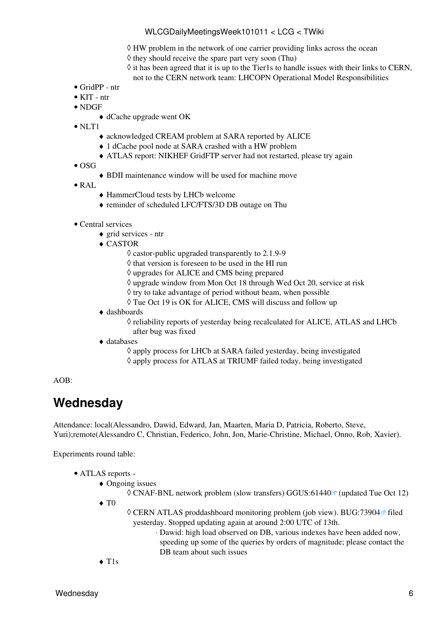- $\Diamond$  HW problem in the network of one carrier providing links across the ocean
- $\Diamond$  they should receive the spare part very soon (Thu)
- $\Diamond$  it has been agreed that it is up to the Tier1s to handle issues with their links to CERN, not to the CERN network team: [LHCOPN Operational Model Responsibilities](https://twiki.cern.ch/twiki/bin/view/LHCOPN/OperationalModel#Responsibilities)
- GridPP ntr
- KIT ntr
- NDGF
	- ♦ dCache upgrade went OK
- NLT1
	- ♦ acknowledged [CREAM](https://twiki.cern.ch/twiki/bin/view/LCG/CREAM) problem at SARA reported by ALICE
	- ♦ 1 dCache pool node at SARA crashed with a HW problem
	- ♦ ATLAS report: NIKHEF GridFTP server had not restarted, please try again
- $\bullet$  OSG
- ♦ BDII maintenance window will be used for machine move
- [RAL](https://twiki.cern.ch/twiki/bin/view/LCG/RAL)
	- ♦ HammerCloud tests by LHCb welcome
	- ♦ reminder of scheduled LFC/FTS/3D DB outage on Thu
- Central services
	- ♦ grid services ntr
	- CASTOR ♦
		- $\Diamond$  castor-public upgraded transparently to 2.1.9-9
		- $\diamond$  that version is foreseen to be used in the HI run
		- ◊ upgrades for ALICE and CMS being prepared
		- $\Diamond$  upgrade window from Mon Oct 18 through Wed Oct 20, service at risk
		- $\Diamond$  try to take advantage of period without beam, when possible
		- ◊ Tue Oct 19 is OK for ALICE, CMS will discuss and follow up
	- dashboards ♦
		- ◊ reliability reports of yesterday being recalculated for ALICE, ATLAS and LHCb after bug was fixed
	- databases ♦
		- ◊ apply process for LHCb at SARA failed yesterday, being investigated
		- ◊ apply process for ATLAS at TRIUMF failed today, being investigated

#### AOB:

### <span id="page-6-0"></span>**Wednesday**

Attendance: local(Alessandro, Dawid, Edward, Jan, Maarten, Maria D, Patricia, Roberto, Steve, Yuri);remote(Alessandro C, Christian, Federico, John, Jon, Marie-Christine, Michael, Onno, Rob, Xavier).

- ATLAS [reports](https://twiki.cern.ch/twiki/bin/view/Atlas/ADCOperationsDailyReports)  •
	- Ongoing issues ♦
	- $\Diamond$  CNAF-BNL network problem (slow transfers) [GGUS:61440](https://ggus.eu/ws/ticket_info.php?ticket=61440) $\degree$  (updated Tue Oct 12)  $\blacklozenge$  T<sub>0</sub>
		- ◊ CERN ATLAS proddashboard monitoring problem (job view). [BUG:73904](https://savannah.cern.ch/bugs/?73904) ª filed yesterday. Stopped updating again at around 2:00 UTC of 13th.
			- Dawid: high load observed on DB, various indexes have been added now, ⋅ speeding up some of the queries by orders of magnitude; please contact the DB team about such issues
	- $\triangle$  T<sub>1s</sub>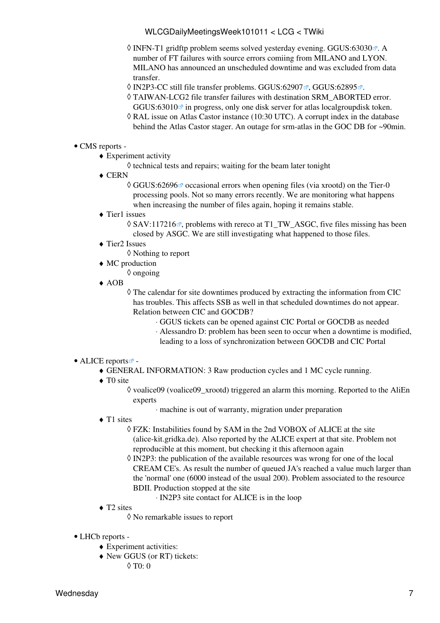- © INFN-T1 gridftp problem seems solved yesterday evening. [GGUS:63030](https://ggus.eu/ws/ticket_info.php?ticket=63030) . A number of FT failures with source errors comiing from MILANO and LYON. MILANO has announced an unscheduled downtime and was excluded from data transfer.
- $\Diamond$  [IN2P3-](https://twiki.cern.ch/twiki/bin/view/LCG/IN2P3)CC still file transfer problems. [GGUS:62907](https://ggus.eu/ws/ticket_info.php?ticket=62907) $\degree$ , [GGUS:62895](https://ggus.eu/ws/ticket_info.php?ticket=62895) $\degree$ .
- TAIWAN-LCG2 file transfer failures with destination SRM\_ABORTED error. ◊ GGUS:63010 $\alpha$  in progress, only one disk server for atlas localgroupdisk token.
- [RAL](https://twiki.cern.ch/twiki/bin/view/LCG/RAL) issue on Atlas Castor instance (10:30 UTC). A corrupt index in the database ◊ behind the Atlas Castor stager. An outage for srm-atlas in the GOC DB for ~90min.

#### • CMS [reports](https://twiki.cern.ch/twiki/bin/view/CMS/FacOps_WLCGdailyreports) -

- Experiment activity ♦
	- $\Diamond$  technical tests and repairs; waiting for the beam later tonight
- CERN ♦
	- © [GGUS:62696](https://ggus.eu/ws/ticket_info.php?ticket=62696) <sup>∞</sup> occasional errors when opening files (via xrootd) on the Tier-0 processing pools. Not so many errors recently. We are monitoring what happens when increasing the number of files again, hoping it remains stable.
- Tier1 issues ♦

 $\Diamond$  [SAV:117216](https://savannah.cern.ch/support/?117216) $\degree$ , problems with rereco at T1\_TW\_ASGC, five files missing has been closed by ASGC. We are still investigating what happened to those files.

Tier2 Issues ♦

◊ Nothing to report

- MC production ♦
	- ◊ ongoing
- AOB ♦

 $\Diamond$  The calendar for site downtimes produced by extracting the information from CIC has troubles. This affects SSB as well in that scheduled downtimes do not appear. Relation between CIC and GOCDB?

- ⋅ GGUS tickets can be opened against CIC Portal or GOCDB as needed
- Alessandro D: problem has been seen to occur when a downtime is modified, ⋅ leading to a loss of synchronization between GOCDB and CIC Portal

#### • ALICE [reports](http://alien2.cern.ch/index.php?option=com_content&view=article&id=75&Itemid=129)<sup>2</sup>

- ♦ GENERAL INFORMATION: 3 Raw production cycles and 1 MC cycle running.
- ◆ TO site
	- ◊ voalice09 (voalice09\_xrootd) triggered an alarm this morning. Reported to the [AliEn](https://twiki.cern.ch/twiki/bin/edit/LCG/AliEn?topicparent=LCG.WLCGDailyMeetingsWeek101011;nowysiwyg=1) experts
		- ⋅ machine is out of warranty, migration under preparation
- ◆ T1 sites
	- FZK: Instabilities found by SAM in the 2nd VOBOX of ALICE at the site ◊ (alice-kit.gridka.de). Also reported by the ALICE expert at that site. Problem not reproducible at this moment, but checking it this afternoon again
	- [IN2P3:](https://twiki.cern.ch/twiki/bin/view/LCG/IN2P3) the publication of the available resources was wrong for one of the local ◊ [CREAM](https://twiki.cern.ch/twiki/bin/view/LCG/CREAM) CE's. As result the number of queued JA's reached a value much larger than the 'normal' one (6000 instead of the usual 200). Problem associated to the resource BDII. Production stopped at the site
		- ⋅ [IN2P3](https://twiki.cern.ch/twiki/bin/view/LCG/IN2P3) site contact for ALICE is in the loop
- ◆ T2 sites
	- ◊ No remarkable issues to report
- LHCb [reports](https://twiki.cern.ch/twiki/bin/view/LHCb/ProductionOperationsWLCGdailyReports) -
	- ♦ Experiment activities:
	- New GGUS (or RT) tickets: ♦
		- $\lozenge$  T<sub>0</sub>: 0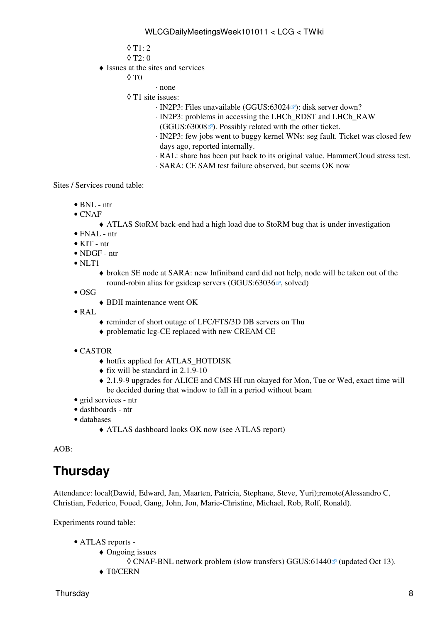$0$  T<sub>1</sub> $\cdot$  2

◊ T2: 0

 $\triangleleft$  Issues at the sites and services

 $\Diamond$  T $0$ 

⋅ none

- T1 site issues: ◊
	- · [IN2P3:](https://twiki.cern.ch/twiki/bin/view/LCG/IN2P3) Files unavailable ([GGUS:63024](https://ggus.eu/ws/ticket_info.php?ticket=63024) ): disk server down?
	- ⋅ [IN2P3:](https://twiki.cern.ch/twiki/bin/view/LCG/IN2P3) problems in accessing the LHCb\_RDST and LHCb\_RAW
	- $(GGUS:63008 \text{ m})$  $(GGUS:63008 \text{ m})$  $(GGUS:63008 \text{ m})$ . Possibly related with the other ticket.
	- [IN2P3:](https://twiki.cern.ch/twiki/bin/view/LCG/IN2P3) few jobs went to buggy kernel WNs: seg fault. Ticket was closed few ⋅ days ago, reported internally.
	- ⋅ [RAL:](https://twiki.cern.ch/twiki/bin/view/LCG/RAL) share has been put back to its original value. [HammerCloud](https://twiki.cern.ch/twiki/bin/view/LCG/HammerCloud) stress test.
	- ⋅ SARA: CE SAM test failure observed, but seems OK now

Sites / Services round table:

- BNL ntr
- $\bullet$  CNAF
	- ♦ ATLAS [StoRM](https://twiki.cern.ch/twiki/bin/view/LCG/StoRM) back-end had a high load due to [StoRM](https://twiki.cern.ch/twiki/bin/view/LCG/StoRM) bug that is under investigation
- FNAL ntr
- KIT ntr
- NDGF ntr
- NLT1
	- broken SE node at SARA: new Infiniband card did not help, node will be taken out of the ♦ round-robin alias for gsidcap servers ([GGUS:63036](https://ggus.eu/ws/ticket_info.php?ticket=63036) $\mathbb{Z}$ , solved)
- $\bullet$  OSG
	- ♦ BDII maintenance went OK
- [RAL](https://twiki.cern.ch/twiki/bin/view/LCG/RAL)
- ♦ reminder of short outage of LFC/FTS/3D DB servers on Thu
- ♦ problematic lcg-CE replaced with new [CREAM](https://twiki.cern.ch/twiki/bin/view/LCG/CREAM) CE
- CASTOR
	- ♦ hotfix applied for ATLAS\_HOTDISK
	- $\triangle$  fix will be standard in 2.1.9-10
	- 2.1.9-9 upgrades for ALICE and CMS HI run okayed for Mon, Tue or Wed, exact time will ♦ be decided during that window to fall in a period without beam
- grid services ntr
- dashboards ntr
- databases
	- ♦ ATLAS dashboard looks OK now (see ATLAS report)

AOB:

### <span id="page-8-0"></span>**Thursday**

Attendance: local(Dawid, Edward, Jan, Maarten, Patricia, Stephane, Steve, Yuri);remote(Alessandro C, Christian, Federico, Foued, Gang, John, Jon, Marie-Christine, Michael, Rob, Rolf, Ronald).

- ATLAS [reports](https://twiki.cern.ch/twiki/bin/view/Atlas/ADCOperationsDailyReports)  •
	- Ongoing issues ♦
		- $\Diamond$  CNAF-BNL network problem (slow transfers) [GGUS:61440](https://ggus.eu/ws/ticket_info.php?ticket=61440) $\degree$  (updated Oct 13).
	- ◆ T0/CERN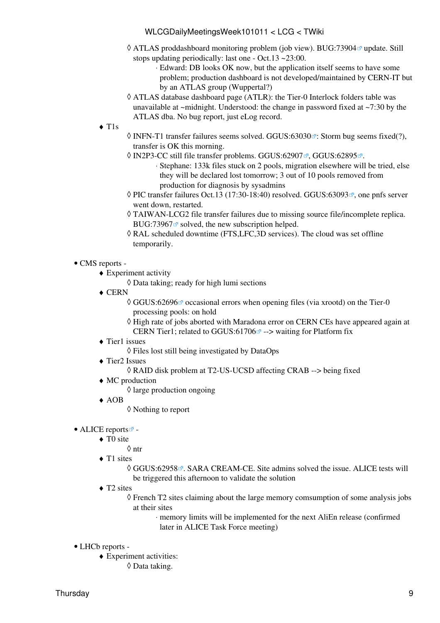- © ATLAS proddashboard monitoring problem (job view). [BUG:73904](https://savannah.cern.ch/bugs/?73904) ø update. Still stops updating periodically: last one - Oct.13 ~23:00.
	- Edward: DB looks OK now, but the application itself seems to have some ⋅ problem; production dashboard is not developed/maintained by CERN-IT but by an ATLAS group (Wuppertal?)
- ATLAS database dashboard page (ATLR): the Tier-0 Interlock folders table was ◊ unavailable at  $\sim$ midnight. Understood: the change in password fixed at  $\sim$ 7:30 by the ATLAS dba. No bug report, just eLog record.
- T1s ♦
- $\Diamond$  INFN-T1 transfer failures seems solved. [GGUS:63030](https://ggus.eu/ws/ticket_info.php?ticket=63030) $\degree$ : Storm bug seems fixed(?), transfer is OK this morning.
- ◊ [IN2P3-](https://twiki.cern.ch/twiki/bin/view/LCG/IN2P3)CC still file transfer problems. [GGUS:62907](https://ggus.eu/ws/ticket_info.php?ticket=62907) ।, [GGUS:62895](https://ggus.eu/ws/ticket_info.php?ticket=62895) ।
	- Stephane: 133k files stuck on 2 pools, migration elsewhere will be tried, else ⋅ they will be declared lost tomorrow; 3 out of 10 pools removed from production for diagnosis by sysadmins
- $\Diamond$  PIC transfer failures Oct.13 (17:30-18:40) resolved. [GGUS:63093](https://ggus.eu/ws/ticket_info.php?ticket=63093) $\mathbb{F}$ , one pnfs server went down, restarted.
- TAIWAN-LCG2 file transfer failures due to missing source file/incomplete replica. ◊ [BUG:73967](https://savannah.cern.ch/bugs/?73967) $\sigma$  solved, the new subscription helped.
- [RAL](https://twiki.cern.ch/twiki/bin/view/LCG/RAL) scheduled downtime (FTS,LFC,3D services). The cloud was set offline ◊ temporarily.
- CMS [reports](https://twiki.cern.ch/twiki/bin/view/CMS/FacOps_WLCGdailyreports) -
	- Experiment activity ♦
		- ◊ Data taking; ready for high lumi sections
	- ◆ CERN
		- ◊ [GGUS:62696](https://ggus.eu/ws/ticket_info.php?ticket=62696) ø occasional errors when opening files (via xrootd) on the Tier-0 processing pools: on hold
		- ◊ High rate of jobs aborted with Maradona error on CERN CEs have appeared again at CERN Tier1; related to GGUS:61706 $\alpha$  --> waiting for Platform fix
	- Tier1 issues ♦
		- ◊ Files lost still being investigated by [DataOps](https://twiki.cern.ch/twiki/bin/edit/LCG/DataOps?topicparent=LCG.WLCGDailyMeetingsWeek101011;nowysiwyg=1)
	- Tier2 Issues ♦
		- ◊ RAID disk problem at T2-US-UCSD affecting CRAB --> being fixed
	- MC production ♦
		- $\Diamond$  large production ongoing
	- AOB ♦
		- ◊ Nothing to report

#### • ALICE [reports](http://alien2.cern.ch/index.php?option=com_content&view=article&id=75&Itemid=129)

- ◆ TO site
	- ◊ ntr
- ◆ T1 sites
	- © [GGUS:62958](https://ggus.eu/ws/ticket_info.php?ticket=62958) <sup>®</sup>. SARA [CREAM-](https://twiki.cern.ch/twiki/bin/view/LCG/CREAM)CE. Site admins solved the issue. ALICE tests will be triggered this afternoon to validate the solution
- ◆ T2 sites
	- French T2 sites claiming about the large memory comsumption of some analysis jobs ◊ at their sites
		- memory limits will be implemented for the next [AliEn](https://twiki.cern.ch/twiki/bin/edit/LCG/AliEn?topicparent=LCG.WLCGDailyMeetingsWeek101011;nowysiwyg=1) release (confirmed ⋅ later in ALICE Task Force meeting)
- LHCb [reports](https://twiki.cern.ch/twiki/bin/view/LHCb/ProductionOperationsWLCGdailyReports) -
	- Experiment activities: ♦ ◊ Data taking.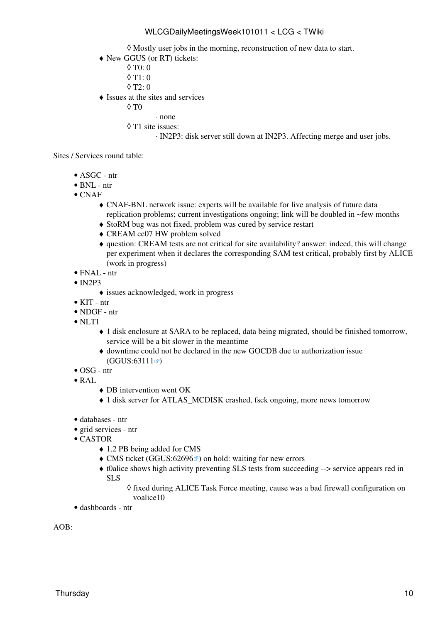◊ Mostly user jobs in the morning, reconstruction of new data to start.

New GGUS (or RT) tickets: ♦

◊ T0: 0

- $\lozenge$  T<sub>1</sub>: 0
- $\Diamond$  T<sub>2</sub> $\cdot$  0
- Issues at the sites and services ♦
	- $\Diamond$  T $0$ 
		- ⋅ none
	- T1 site issues: ◊

⋅ [IN2P3:](https://twiki.cern.ch/twiki/bin/view/LCG/IN2P3) disk server still down at [IN2P3](https://twiki.cern.ch/twiki/bin/view/LCG/IN2P3). Affecting merge and user jobs.

Sites / Services round table:

- ASGC ntr
- $\bullet$  BNL ntr
- CNAF
	- CNAF-BNL network issue: experts will be available for live analysis of future data ♦ replication problems; current investigations ongoing; link will be doubled in ~few months
	- ♦ [StoRM](https://twiki.cern.ch/twiki/bin/view/LCG/StoRM) bug was not fixed, problem was cured by service restart
	- ♦ [CREAM](https://twiki.cern.ch/twiki/bin/view/LCG/CREAM) ce07 HW problem solved
	- question: [CREAM](https://twiki.cern.ch/twiki/bin/view/LCG/CREAM) tests are not critical for site availability? answer: indeed, this will change ♦ per experiment when it declares the corresponding SAM test critical, probably first by ALICE (work in progress)
- FNAL ntr
- $\bullet$  [IN2P3](https://twiki.cern.ch/twiki/bin/view/LCG/IN2P3)
	- ♦ issues acknowledged, work in progress
- KIT ntr
- NDGF ntr
- NLT1
	- 1 disk enclosure at SARA to be replaced, data being migrated, should be finished tomorrow, ♦ service will be a bit slower in the meantime
	- downtime could not be declared in the new GOCDB due to authorization issue ♦  $(GGUS:63111 \)$  $(GGUS:63111 \)$  $(GGUS:63111 \)$
- OSG ntr
- [RAL](https://twiki.cern.ch/twiki/bin/view/LCG/RAL)
	- ♦ DB intervention went OK
	- ♦ 1 disk server for ATLAS\_MCDISK crashed, fsck ongoing, more news tomorrow
- databases ntr
- grid services ntr
- CASTOR
	- ♦ 1.2 PB being added for CMS
	- $\triangle$  CMS ticket ([GGUS:62696](https://ggus.eu/ws/ticket_info.php?ticket=62696) $\textdegree$ ) on hold: waiting for new errors
	- t0alice shows high activity preventing SLS tests from succeeding --> service appears red in ♦ SLS
		- ◊ fixed during ALICE Task Force meeting, cause was a bad firewall configuration on voalice10
- dashboards ntr

AOB: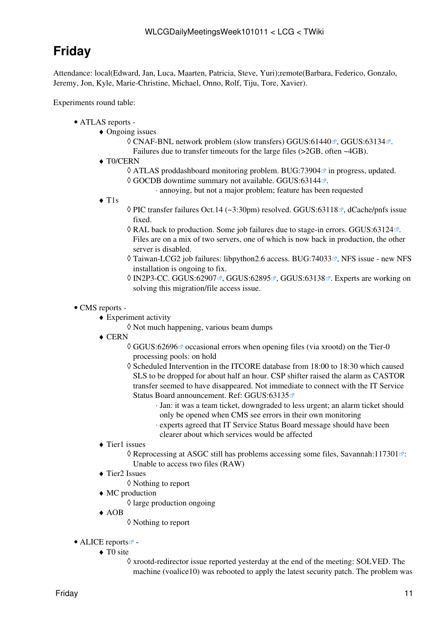# <span id="page-11-0"></span>**Friday**

Attendance: local(Edward, Jan, Luca, Maarten, Patricia, Steve, Yuri);remote(Barbara, Federico, Gonzalo, Jeremy, Jon, Kyle, Marie-Christine, Michael, Onno, Rolf, Tiju, Tore, Xavier).

- ATLAS [reports](https://twiki.cern.ch/twiki/bin/view/Atlas/ADCOperationsDailyReports)  •
	- Ongoing issues ♦
		- ◊ CNAF-BNL network problem (slow transfers) [GGUS:61440](https://ggus.eu/ws/ticket_info.php?ticket=61440)₫, [GGUS:63134](https://ggus.eu/ws/ticket_info.php?ticket=63134)₫. Failures due to transfer timeouts for the large files (>2GB, often ~4GB).
	- ◆ T0/CERN
		- ◊ ATLAS proddashboard monitoring problem. [BUG:73904](https://savannah.cern.ch/bugs/?73904) in progress, updated.
		- © GOCDB downtime summary not available. [GGUS:63144](https://ggus.eu/ws/ticket_info.php?ticket=63144) ...
			- ⋅ annoying, but not a major problem; feature has been requested
	- T1s ♦
- ◊ PIC transfer failures Oct.14 (~3:30pm) resolved. [GGUS:63118](https://ggus.eu/ws/ticket_info.php?ticket=63118)₫, dCache/pnfs issue fixed.
- ◊ [RAL](https://twiki.cern.ch/twiki/bin/view/LCG/RAL) back to production. Some job failures due to stage-in errors. [GGUS:63124](https://ggus.eu/ws/ticket_info.php?ticket=63124) . Files are on a mix of two servers, one of which is now back in production, the other server is disabled.
- ◊ Taiwan-LCG2 job failures: libpython2.6 access. [BUG:74033](https://savannah.cern.ch/bugs/?74033) <sub>*P*</sub>, NFS issue new NFS installation is ongoing to fix.
- 0 [IN2P3-](https://twiki.cern.ch/twiki/bin/view/LCG/IN2P3)CC. [GGUS:62907](https://ggus.eu/ws/ticket_info.php?ticket=62907) ø, [GGUS:62895](https://ggus.eu/ws/ticket_info.php?ticket=62895) ø, [GGUS:63138](https://ggus.eu/ws/ticket_info.php?ticket=63138) ø. Experts are working on solving this migration/file access issue.
- CMS [reports](https://twiki.cern.ch/twiki/bin/view/CMS/FacOps_WLCGdailyreports) -
	- Experiment activity ♦
		- ◊ Not much happening, various beam dumps
	- ◆ CERN
		- ◊ [GGUS:62696](https://ggus.eu/ws/ticket_info.php?ticket=62696) ø occasional errors when opening files (via xrootd) on the Tier-0 processing pools: on hold
		- Scheduled Intervention in the ITCORE database from 18:00 to 18:30 which caused ◊ SLS to be dropped for about half an hour. CSP shifter raised the alarm as CASTOR transfer seemed to have disappeared. Not immediate to connect with the IT Service Status Board announcement. Ref: [GGUS:63135](https://ggus.eu/ws/ticket_info.php?ticket=63135)<sup>®</sup>
			- Jan: it was a team ticket, downgraded to less urgent; an alarm ticket should ⋅ only be opened when CMS see errors in their own monitoring
			- experts agreed that IT Service Status Board message should have been ⋅ clearer about which services would be affected
	- Tier1 issues ♦
		- ◊ Reprocessing at ASGC still has problems accessing some files, [Savannah:117301](https://savannah.cern.ch/support/?117301) a: Unable to access two files (RAW)
	- Tier2 Issues ♦
		- ◊ Nothing to report
	- MC production ♦
		- $\Diamond$  large production ongoing
	- AOB ♦
		- ◊ Nothing to report
- ALICE [reports](http://alien2.cern.ch/index.php?option=com_content&view=article&id=75&Itemid=129)<sup>2</sup>
	- ◆ TO site
		- xrootd-redirector issue reported yesterday at the end of the meeting: SOLVED. The ◊ machine (voalice10) was rebooted to apply the latest security patch. The problem was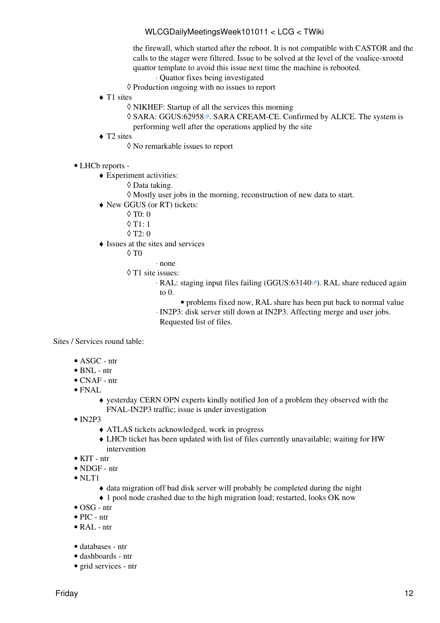the firewall, which started after the reboot. It is not compatible with CASTOR and the calls to the stager were filtered. Issue to be solved at the level of the voalice-xrootd quattor template to avoid this issue next time the machine is rebooted.

- ⋅ Quattor fixes being investigated
- ◊ Production ongoing with no issues to report
- ◆ T1 sites
	- ◊ NIKHEF: Startup of all the services this morning
	- © SARA: [GGUS:62958](https://ggus.eu/ws/ticket_info.php?ticket=62958) <sup>®</sup>. SARA [CREAM-](https://twiki.cern.ch/twiki/bin/view/LCG/CREAM)CE. Confirmed by ALICE. The system is performing well after the operations applied by the site
- ◆ T2 sites
	- ◊ No remarkable issues to report
- LHCb [reports](https://twiki.cern.ch/twiki/bin/view/LHCb/ProductionOperationsWLCGdailyReports) -
	- Experiment activities: ♦
		- ◊ Data taking.
		- $\Diamond$  Mostly user jobs in the morning, reconstruction of new data to start.
	- New GGUS (or RT) tickets: ♦
		- $\lozenge$  T<sub>0</sub>: 0
		- $0$  T<sub>1</sub> $\cdot$  1
		- $\lozenge$  T2: 0
	- Issues at the sites and services ♦
		- $\Diamond$  T $0$
- ⋅ none
- T1 site issues: ◊
	- · [RAL](https://twiki.cern.ch/twiki/bin/view/LCG/RAL): staging input files failing [\(GGUS:63140](https://ggus.eu/ws/ticket_info.php?ticket=63140)<sup>®</sup>). [RAL](https://twiki.cern.ch/twiki/bin/view/LCG/RAL) share reduced again to 0.
		- problems fixed now, [RAL](https://twiki.cern.ch/twiki/bin/view/LCG/RAL) share has been put back to normal value
	- [IN2P3:](https://twiki.cern.ch/twiki/bin/view/LCG/IN2P3) disk server still down at [IN2P3](https://twiki.cern.ch/twiki/bin/view/LCG/IN2P3). Affecting merge and user jobs. ⋅
	- Requested list of files.

Sites / Services round table:

- ASGC ntr
- BNL ntr
- CNAF ntr
- FNAL
	- yesterday CERN OPN experts kindly notified Jon of a problem they observed with the ♦ FNAL-IN2P3 traffic; issue is under investigation
- $\bullet$  [IN2P3](https://twiki.cern.ch/twiki/bin/view/LCG/IN2P3)
	- ♦ ATLAS tickets acknowledged, work in progress
	- LHCb ticket has been updated with list of files currently unavailable; waiting for HW ♦ intervention
- KIT ntr
- NDGF ntr
- $\bullet$  NLT1
	- ♦ data migration off bad disk server will probably be completed during the night
	- ♦ 1 pool node crashed due to the high migration load; restarted, looks OK now
- $\bullet$  OSG ntr
- $\bullet$  PIC ntr
- [RAL](https://twiki.cern.ch/twiki/bin/view/LCG/RAL)  ntr
- databases ntr
- dashboards ntr
- grid services ntr